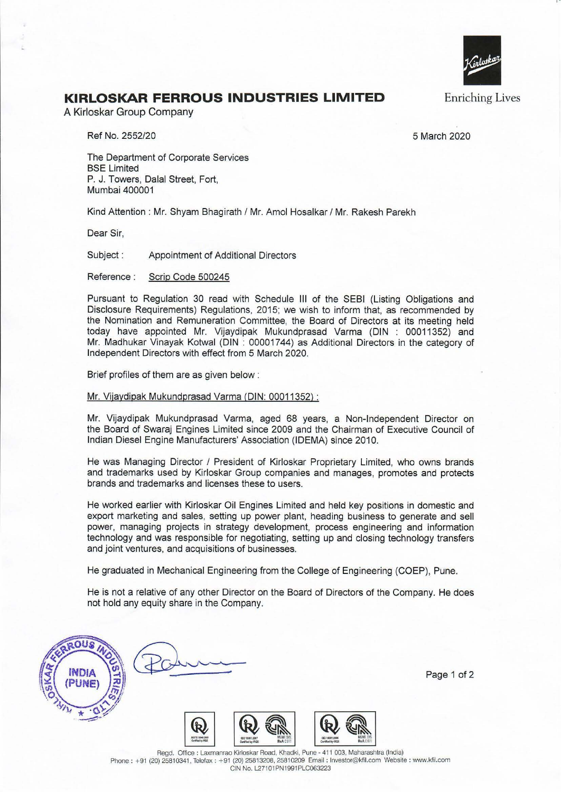

,.

## **KIRLOSKAR FERROUS INDUSTRIES LIMITED**

A Kirloskar Group Company

Ref No. 2552/20 5 March 2020

The Department of Corporate Services BSE Limited P. J. Towers, Dalal Street, Fort, Mumbai 400001

Kind Attention : Mr. Shyam Bhagirath / Mr. Amol Hosalkar / Mr. Rakesh Parekh

Dear Sir,

Subject : Appointment of Additional Directors

Reference : Scrip Code 500245

Pursuant to Regulation 30 read with Schedule Ill of the SEBI (Listing Obligations and Disclosure Requirements) Regulations, 2015; we wish to inform that, as recommended by the Nomination and Remuneration Committee, the Board of Directors at its meeting held today have appointed Mr. Vijaydipak Mukundprasad Varma (DIN : 00011352) and Mr. Madhukar Vinayak Kotwal (DIN : 00001744) as Additional Directors in the category of Independent Directors with effect from 5 March 2020.

Brief profiles of them are as given below :

Mr. Vijaydipak Mukundprasad Varma (DIN: 00011352) :

Mr. Vijaydipak Mukundprasad Varma, aged 68 years, a Non-Independent Director on the Board of Swaraj Engines Limited since 2009 and the Chairman of Executive Council of Indian Diesel Engine Manufacturers' Association (IDEMA) since 2010.

He was Managing Director / President of Kirloskar Proprietary Limited, who owns brands and trademarks used by Kirloskar Group companies and manages, promotes and protects brands and trademarks and licenses these to users.

He worked earlier with Kirloskar Oil Engines Limited and held key positions in domestic and export marketing and sales, setting up power plant, heading business to generate and sell power, managing projects in strategy development, process engineering and information technology and was responsible for negotiating, setting up and closing technology transfers and joint ventures, and acquisitions of businesses.

He graduated in Mechanical Engineering from the College of Engineering (COEP), Pune.

He is not a relative of any other Director on the Board of Directors of the Company. He does not hold any equity share in the Company.



ĴR.





**RWA**<sup>ESVS</sup><br>**RVA**<sup>C</sup><sub>071</sub>

Page 1 of 2

Regd. Office : Laxmanrao Kirloskar Road, Khadki, Pune - 411 003, Maharashtra (India) Phone : +91 (20) 25810341 , Telefax: + 91 (20) 25813208, 25810209 Email : lnvestor@kfil.com Website: www.kfil.com CIN No. L27101 PN 1991 PLC063223